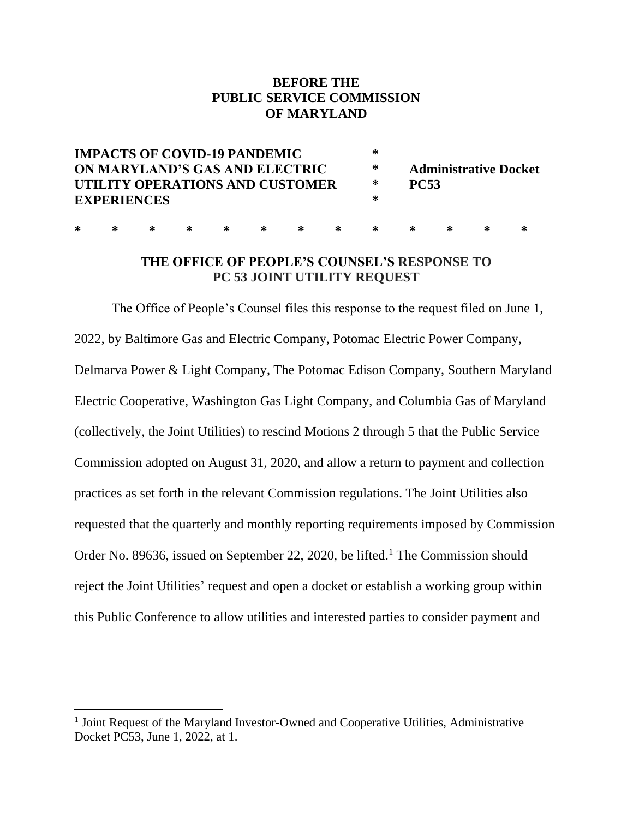# **BEFORE THE PUBLIC SERVICE COMMISSION OF MARYLAND**

| <b>IMPACTS OF COVID-19 PANDEMIC</b><br>ON MARYLAND'S GAS AND ELECTRIC |   |   |   |   |   |   |   | ∗<br>∗ | <b>Administrative Docket</b><br><b>PC53</b><br>∗<br>∗ |   |  |   |  |
|-----------------------------------------------------------------------|---|---|---|---|---|---|---|--------|-------------------------------------------------------|---|--|---|--|
| UTILITY OPERATIONS AND CUSTOMER<br><b>EXPERIENCES</b>                 |   |   |   |   |   |   |   |        |                                                       |   |  |   |  |
| ∗                                                                     | ∗ | ∗ | ∗ | ∗ | ∗ | ∗ | ∗ | ⋇      | ⋇                                                     | ⋇ |  | ⋇ |  |

# **THE OFFICE OF PEOPLE'S COUNSEL'S RESPONSE TO PC 53 JOINT UTILITY REQUEST**

The Office of People's Counsel files this response to the request filed on June 1, 2022, by Baltimore Gas and Electric Company, Potomac Electric Power Company, Delmarva Power & Light Company, The Potomac Edison Company, Southern Maryland Electric Cooperative, Washington Gas Light Company, and Columbia Gas of Maryland (collectively, the Joint Utilities) to rescind Motions 2 through 5 that the Public Service Commission adopted on August 31, 2020, and allow a return to payment and collection practices as set forth in the relevant Commission regulations. The Joint Utilities also requested that the quarterly and monthly reporting requirements imposed by Commission Order No. 89636, issued on September 22, 2020, be lifted.<sup>1</sup> The Commission should reject the Joint Utilities' request and open a docket or establish a working group within this Public Conference to allow utilities and interested parties to consider payment and

<sup>&</sup>lt;sup>1</sup> Joint Request of the Maryland Investor-Owned and Cooperative Utilities, Administrative Docket PC53, June 1, 2022, at 1.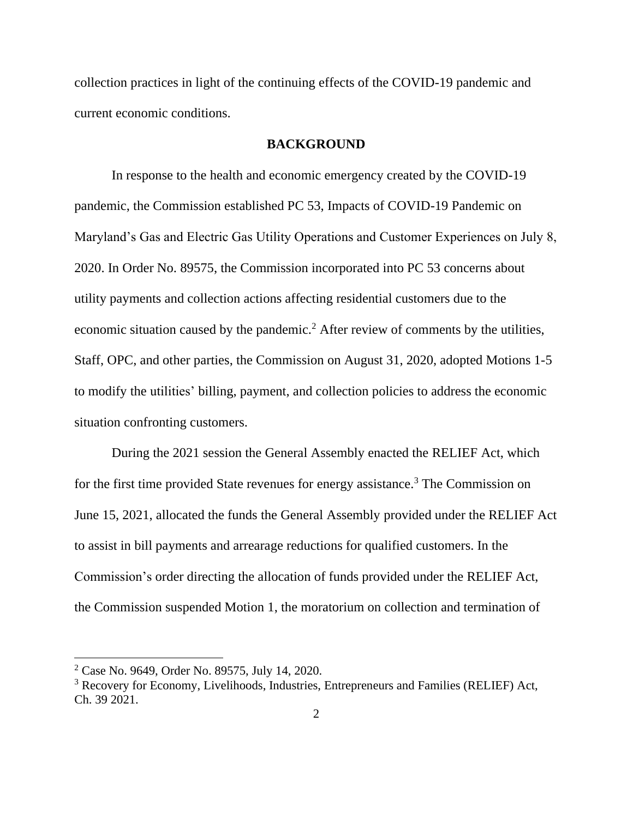collection practices in light of the continuing effects of the COVID-19 pandemic and current economic conditions.

### **BACKGROUND**

In response to the health and economic emergency created by the COVID-19 pandemic, the Commission established PC 53, Impacts of COVID-19 Pandemic on Maryland's Gas and Electric Gas Utility Operations and Customer Experiences on July 8, 2020. In Order No. 89575, the Commission incorporated into PC 53 concerns about utility payments and collection actions affecting residential customers due to the economic situation caused by the pandemic.<sup>2</sup> After review of comments by the utilities, Staff, OPC, and other parties, the Commission on August 31, 2020, adopted Motions 1-5 to modify the utilities' billing, payment, and collection policies to address the economic situation confronting customers.

During the 2021 session the General Assembly enacted the RELIEF Act, which for the first time provided State revenues for energy assistance.<sup>3</sup> The Commission on June 15, 2021, allocated the funds the General Assembly provided under the RELIEF Act to assist in bill payments and arrearage reductions for qualified customers. In the Commission's order directing the allocation of funds provided under the RELIEF Act, the Commission suspended Motion 1, the moratorium on collection and termination of

<sup>2</sup> Case No. 9649, Order No. 89575, July 14, 2020.

<sup>3</sup> Recovery for Economy, Livelihoods, Industries, Entrepreneurs and Families (RELIEF) Act, Ch. 39 2021.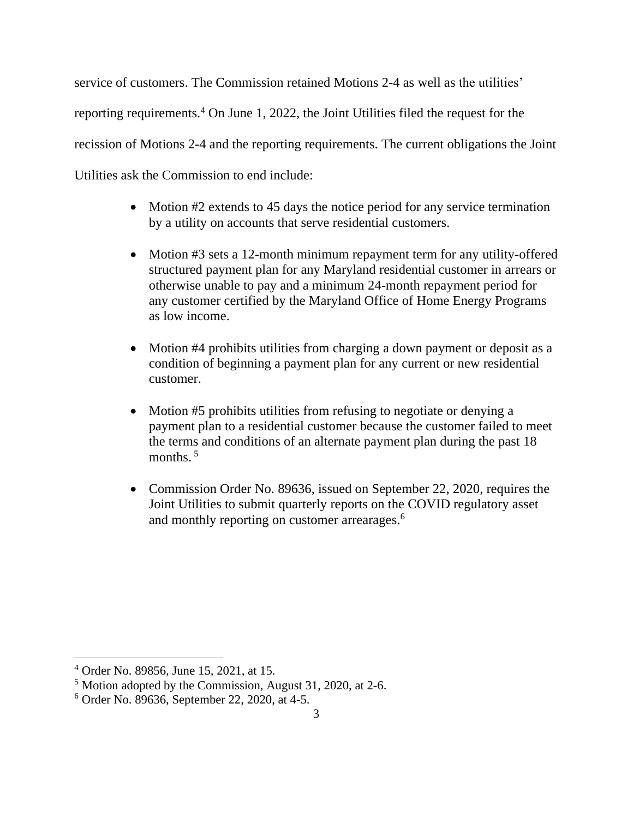service of customers. The Commission retained Motions 2-4 as well as the utilities' reporting requirements.<sup>4</sup> On June 1, 2022, the Joint Utilities filed the request for the recission of Motions 2-4 and the reporting requirements. The current obligations the Joint Utilities ask the Commission to end include:

- Motion #2 extends to 45 days the notice period for any service termination by a utility on accounts that serve residential customers.
- Motion #3 sets a 12-month minimum repayment term for any utility-offered structured payment plan for any Maryland residential customer in arrears or otherwise unable to pay and a minimum 24-month repayment period for any customer certified by the Maryland Office of Home Energy Programs as low income.
- Motion #4 prohibits utilities from charging a down payment or deposit as a condition of beginning a payment plan for any current or new residential customer.
- Motion #5 prohibits utilities from refusing to negotiate or denying a payment plan to a residential customer because the customer failed to meet the terms and conditions of an alternate payment plan during the past 18 months.<sup>5</sup>
- Commission Order No. 89636, issued on September 22, 2020, requires the Joint Utilities to submit quarterly reports on the COVID regulatory asset and monthly reporting on customer arrearages.<sup>6</sup>

<sup>4</sup> Order No. 89856, June 15, 2021, at 15.

<sup>5</sup> Motion adopted by the Commission, August 31, 2020, at 2-6.

<sup>6</sup> Order No. 89636, September 22, 2020, at 4-5.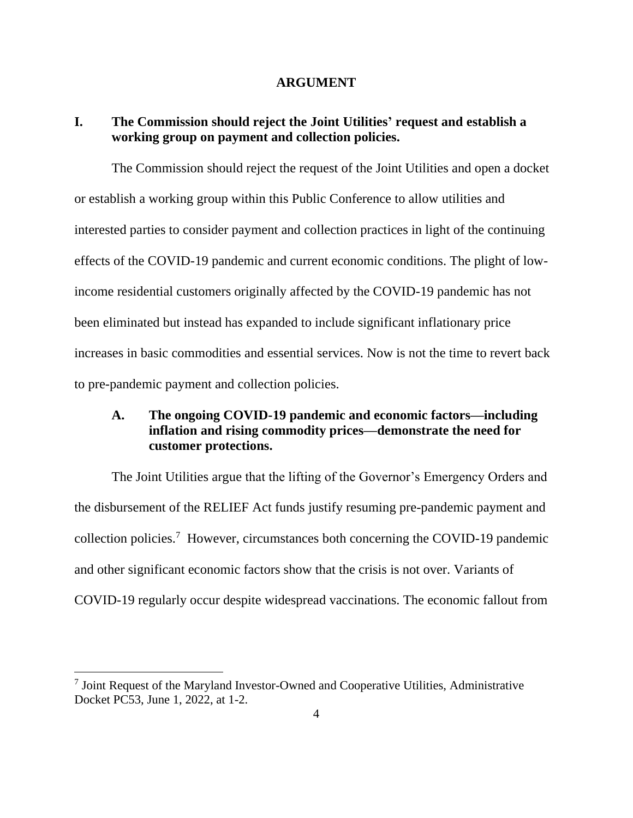#### **ARGUMENT**

# **I. The Commission should reject the Joint Utilities' request and establish a working group on payment and collection policies.**

The Commission should reject the request of the Joint Utilities and open a docket or establish a working group within this Public Conference to allow utilities and interested parties to consider payment and collection practices in light of the continuing effects of the COVID-19 pandemic and current economic conditions. The plight of lowincome residential customers originally affected by the COVID-19 pandemic has not been eliminated but instead has expanded to include significant inflationary price increases in basic commodities and essential services. Now is not the time to revert back to pre-pandemic payment and collection policies.

# **A. The ongoing COVID-19 pandemic and economic factors—including inflation and rising commodity prices—demonstrate the need for customer protections.**

The Joint Utilities argue that the lifting of the Governor's Emergency Orders and the disbursement of the RELIEF Act funds justify resuming pre-pandemic payment and collection policies.<sup>7</sup> However, circumstances both concerning the COVID-19 pandemic and other significant economic factors show that the crisis is not over. Variants of COVID-19 regularly occur despite widespread vaccinations. The economic fallout from

<sup>&</sup>lt;sup>7</sup> Joint Request of the Maryland Investor-Owned and Cooperative Utilities, Administrative Docket PC53, June 1, 2022, at 1-2.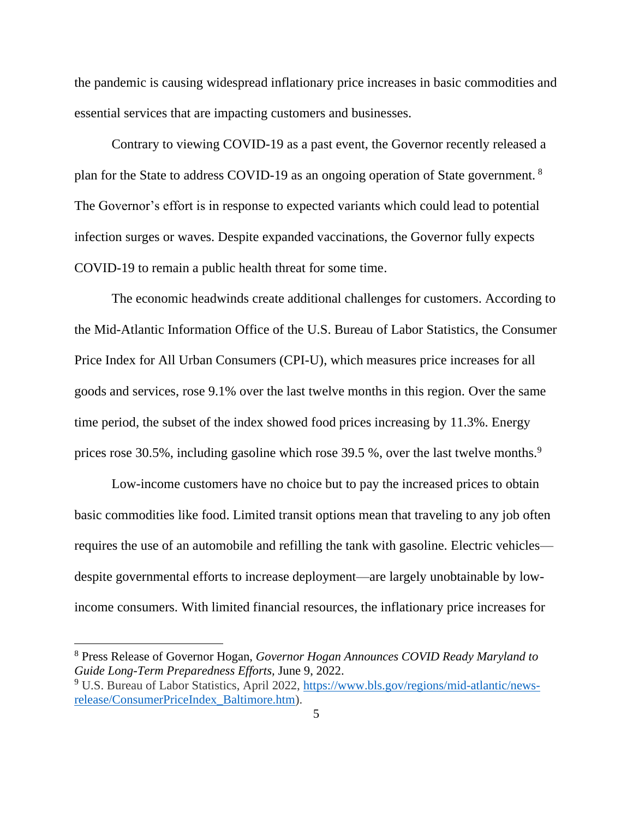the pandemic is causing widespread inflationary price increases in basic commodities and essential services that are impacting customers and businesses.

Contrary to viewing COVID-19 as a past event, the Governor recently released a plan for the State to address COVID-19 as an ongoing operation of State government. <sup>8</sup> The Governor's effort is in response to expected variants which could lead to potential infection surges or waves. Despite expanded vaccinations, the Governor fully expects COVID-19 to remain a public health threat for some time.

The economic headwinds create additional challenges for customers. According to the Mid-Atlantic Information Office of the U.S. Bureau of Labor Statistics, the Consumer Price Index for All Urban Consumers (CPI-U), which measures price increases for all goods and services, rose 9.1% over the last twelve months in this region. Over the same time period, the subset of the index showed food prices increasing by 11.3%. Energy prices rose 30.5%, including gasoline which rose 39.5 %, over the last twelve months.<sup>9</sup>

Low-income customers have no choice but to pay the increased prices to obtain basic commodities like food. Limited transit options mean that traveling to any job often requires the use of an automobile and refilling the tank with gasoline. Electric vehicles despite governmental efforts to increase deployment—are largely unobtainable by lowincome consumers. With limited financial resources, the inflationary price increases for

<sup>8</sup> Press Release of Governor Hogan, *Governor Hogan Announces COVID Ready Maryland to Guide Long-Term Preparedness Efforts,* June 9, 2022.

<sup>9</sup> U.S. Bureau of Labor Statistics, April 2022, [https://www.bls.gov/regions/mid-atlantic/news](https://www.bls.gov/regions/mid-atlantic/news-release/ConsumerPriceIndex_Baltimore.htm)[release/ConsumerPriceIndex\\_Baltimore.htm\)](https://www.bls.gov/regions/mid-atlantic/news-release/ConsumerPriceIndex_Baltimore.htm).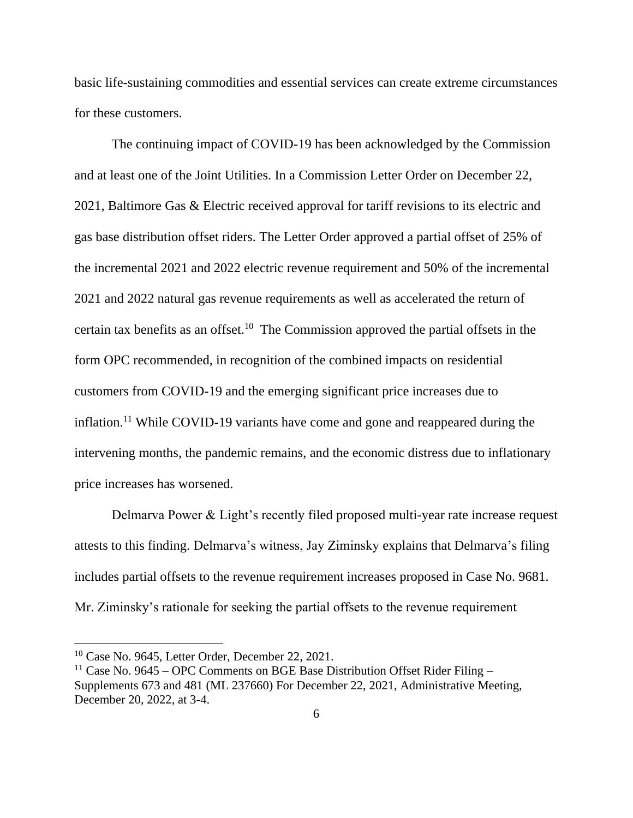basic life-sustaining commodities and essential services can create extreme circumstances for these customers.

The continuing impact of COVID-19 has been acknowledged by the Commission and at least one of the Joint Utilities. In a Commission Letter Order on December 22, 2021, Baltimore Gas & Electric received approval for tariff revisions to its electric and gas base distribution offset riders. The Letter Order approved a partial offset of 25% of the incremental 2021 and 2022 electric revenue requirement and 50% of the incremental 2021 and 2022 natural gas revenue requirements as well as accelerated the return of certain tax benefits as an offset.<sup>10</sup> The Commission approved the partial offsets in the form OPC recommended, in recognition of the combined impacts on residential customers from COVID-19 and the emerging significant price increases due to inflation.<sup>11</sup> While COVID-19 variants have come and gone and reappeared during the intervening months, the pandemic remains, and the economic distress due to inflationary price increases has worsened.

Delmarva Power & Light's recently filed proposed multi-year rate increase request attests to this finding. Delmarva's witness, Jay Ziminsky explains that Delmarva's filing includes partial offsets to the revenue requirement increases proposed in Case No. 9681. Mr. Ziminsky's rationale for seeking the partial offsets to the revenue requirement

 $10$  Case No. 9645, Letter Order, December 22, 2021.

<sup>&</sup>lt;sup>11</sup> Case No. 9645 – OPC Comments on BGE Base Distribution Offset Rider Filing – Supplements 673 and 481 (ML 237660) For December 22, 2021, Administrative Meeting, December 20, 2022, at 3-4.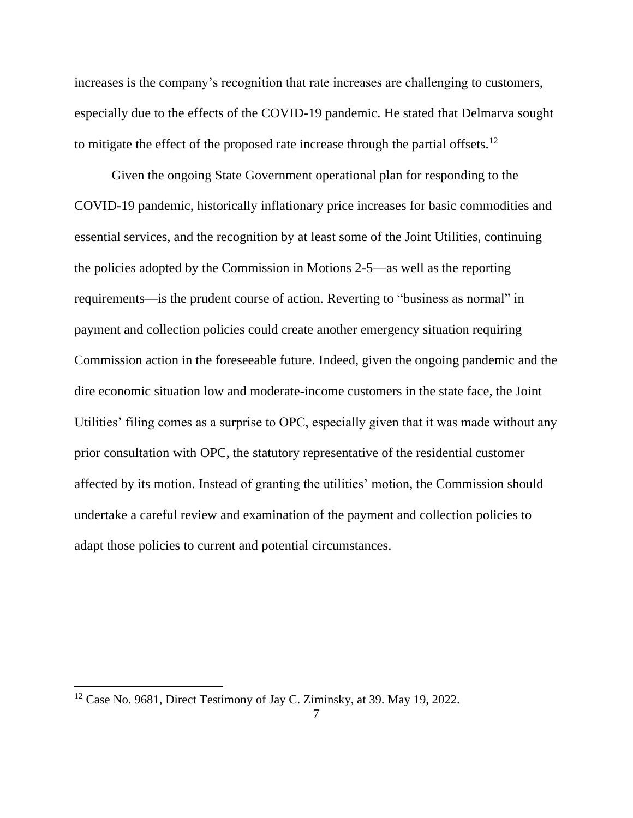increases is the company's recognition that rate increases are challenging to customers, especially due to the effects of the COVID-19 pandemic. He stated that Delmarva sought to mitigate the effect of the proposed rate increase through the partial offsets.<sup>12</sup>

Given the ongoing State Government operational plan for responding to the COVID-19 pandemic, historically inflationary price increases for basic commodities and essential services, and the recognition by at least some of the Joint Utilities, continuing the policies adopted by the Commission in Motions 2-5—as well as the reporting requirements—is the prudent course of action. Reverting to "business as normal" in payment and collection policies could create another emergency situation requiring Commission action in the foreseeable future. Indeed, given the ongoing pandemic and the dire economic situation low and moderate-income customers in the state face, the Joint Utilities' filing comes as a surprise to OPC, especially given that it was made without any prior consultation with OPC, the statutory representative of the residential customer affected by its motion. Instead of granting the utilities' motion, the Commission should undertake a careful review and examination of the payment and collection policies to adapt those policies to current and potential circumstances.

 $12$  Case No. 9681, Direct Testimony of Jay C. Ziminsky, at 39. May 19, 2022.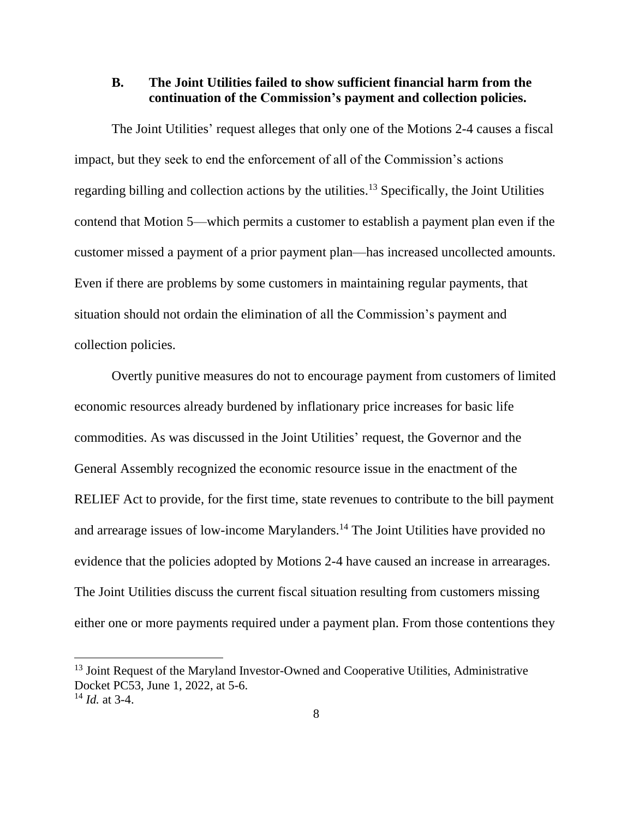## **B. The Joint Utilities failed to show sufficient financial harm from the continuation of the Commission's payment and collection policies.**

The Joint Utilities' request alleges that only one of the Motions 2-4 causes a fiscal impact, but they seek to end the enforcement of all of the Commission's actions regarding billing and collection actions by the utilities.<sup>13</sup> Specifically, the Joint Utilities contend that Motion 5—which permits a customer to establish a payment plan even if the customer missed a payment of a prior payment plan—has increased uncollected amounts. Even if there are problems by some customers in maintaining regular payments, that situation should not ordain the elimination of all the Commission's payment and collection policies.

Overtly punitive measures do not to encourage payment from customers of limited economic resources already burdened by inflationary price increases for basic life commodities. As was discussed in the Joint Utilities' request, the Governor and the General Assembly recognized the economic resource issue in the enactment of the RELIEF Act to provide, for the first time, state revenues to contribute to the bill payment and arrearage issues of low-income Marylanders.<sup>14</sup> The Joint Utilities have provided no evidence that the policies adopted by Motions 2-4 have caused an increase in arrearages. The Joint Utilities discuss the current fiscal situation resulting from customers missing either one or more payments required under a payment plan. From those contentions they

<sup>&</sup>lt;sup>13</sup> Joint Request of the Maryland Investor-Owned and Cooperative Utilities, Administrative Docket PC53, June 1, 2022, at 5-6.

 $14$  *Id.* at 3-4.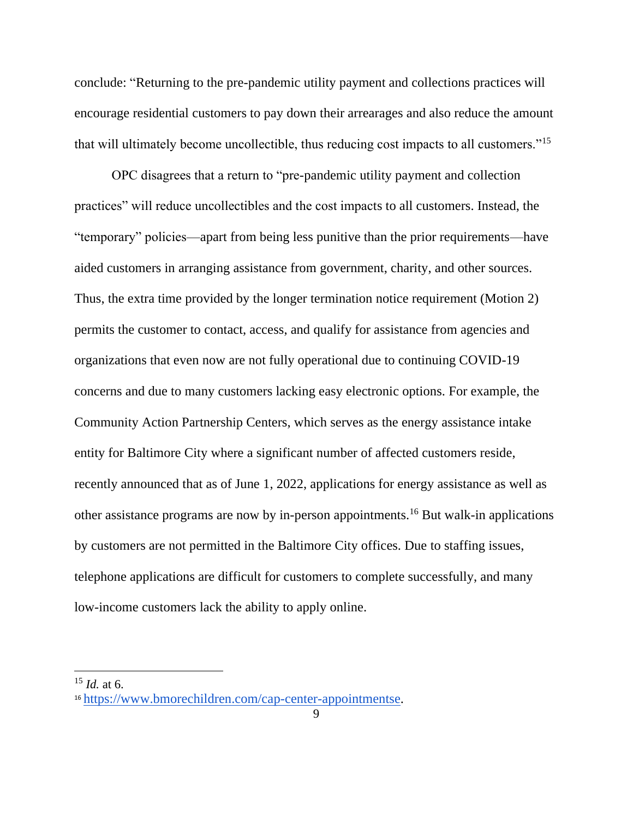conclude: "Returning to the pre-pandemic utility payment and collections practices will encourage residential customers to pay down their arrearages and also reduce the amount that will ultimately become uncollectible, thus reducing cost impacts to all customers."<sup>15</sup>

OPC disagrees that a return to "pre-pandemic utility payment and collection practices" will reduce uncollectibles and the cost impacts to all customers. Instead, the "temporary" policies—apart from being less punitive than the prior requirements—have aided customers in arranging assistance from government, charity, and other sources. Thus, the extra time provided by the longer termination notice requirement (Motion 2) permits the customer to contact, access, and qualify for assistance from agencies and organizations that even now are not fully operational due to continuing COVID-19 concerns and due to many customers lacking easy electronic options. For example, the Community Action Partnership Centers, which serves as the energy assistance intake entity for Baltimore City where a significant number of affected customers reside, recently announced that as of June 1, 2022, applications for energy assistance as well as other assistance programs are now by in-person appointments.<sup>16</sup> But walk-in applications by customers are not permitted in the Baltimore City offices. Due to staffing issues, telephone applications are difficult for customers to complete successfully, and many low-income customers lack the ability to apply online.

<sup>15</sup> *Id.* at 6.

<sup>16</sup> [https://www.bmorechildren.com/cap-center-appointmentse.](https://www.bmorechildren.com/cap-center-appointmentse)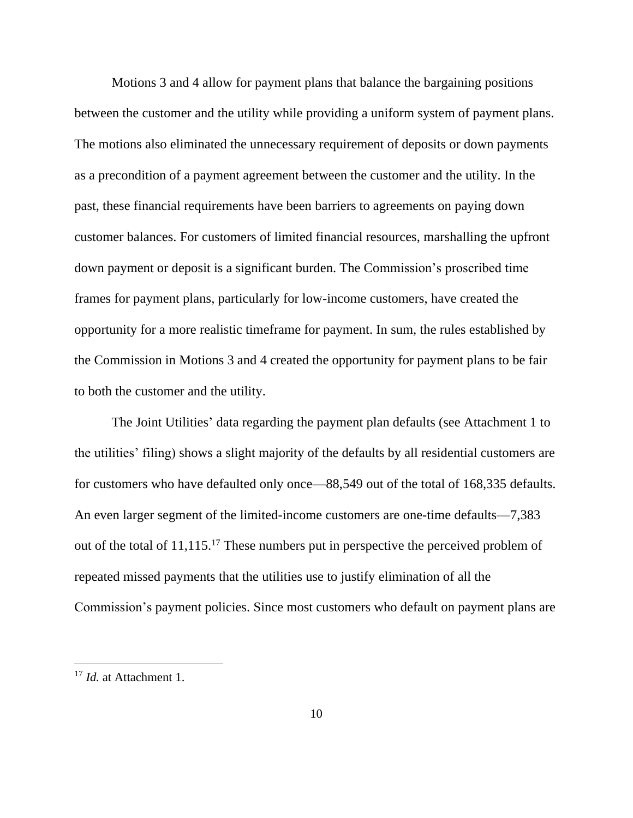Motions 3 and 4 allow for payment plans that balance the bargaining positions between the customer and the utility while providing a uniform system of payment plans. The motions also eliminated the unnecessary requirement of deposits or down payments as a precondition of a payment agreement between the customer and the utility. In the past, these financial requirements have been barriers to agreements on paying down customer balances. For customers of limited financial resources, marshalling the upfront down payment or deposit is a significant burden. The Commission's proscribed time frames for payment plans, particularly for low-income customers, have created the opportunity for a more realistic timeframe for payment. In sum, the rules established by the Commission in Motions 3 and 4 created the opportunity for payment plans to be fair to both the customer and the utility.

The Joint Utilities' data regarding the payment plan defaults (see Attachment 1 to the utilities' filing) shows a slight majority of the defaults by all residential customers are for customers who have defaulted only once—88,549 out of the total of 168,335 defaults. An even larger segment of the limited-income customers are one-time defaults—7,383 out of the total of 11,115.<sup>17</sup> These numbers put in perspective the perceived problem of repeated missed payments that the utilities use to justify elimination of all the Commission's payment policies. Since most customers who default on payment plans are

<sup>17</sup> *Id.* at Attachment 1.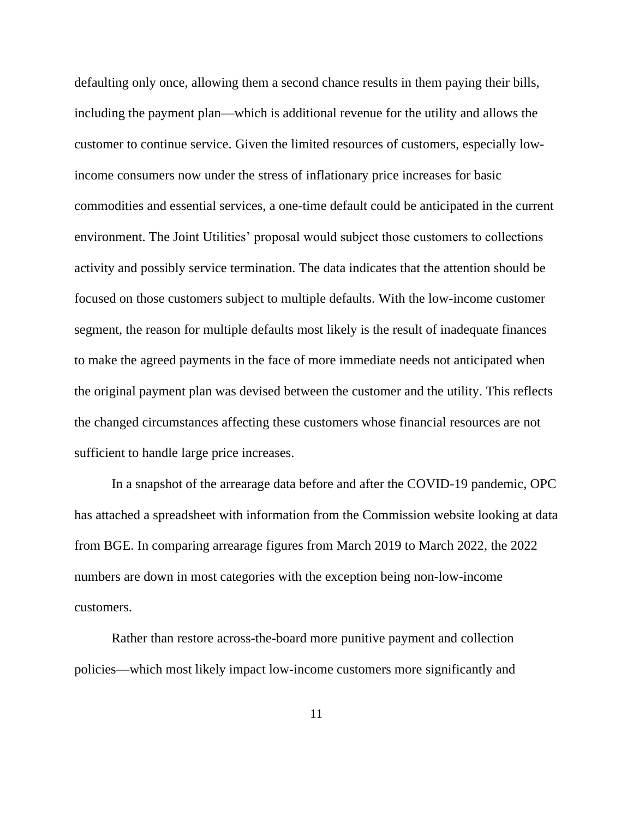defaulting only once, allowing them a second chance results in them paying their bills, including the payment plan—which is additional revenue for the utility and allows the customer to continue service. Given the limited resources of customers, especially lowincome consumers now under the stress of inflationary price increases for basic commodities and essential services, a one-time default could be anticipated in the current environment. The Joint Utilities' proposal would subject those customers to collections activity and possibly service termination. The data indicates that the attention should be focused on those customers subject to multiple defaults. With the low-income customer segment, the reason for multiple defaults most likely is the result of inadequate finances to make the agreed payments in the face of more immediate needs not anticipated when the original payment plan was devised between the customer and the utility. This reflects the changed circumstances affecting these customers whose financial resources are not sufficient to handle large price increases.

In a snapshot of the arrearage data before and after the COVID-19 pandemic, OPC has attached a spreadsheet with information from the Commission website looking at data from BGE. In comparing arrearage figures from March 2019 to March 2022, the 2022 numbers are down in most categories with the exception being non-low-income customers.

Rather than restore across-the-board more punitive payment and collection policies—which most likely impact low-income customers more significantly and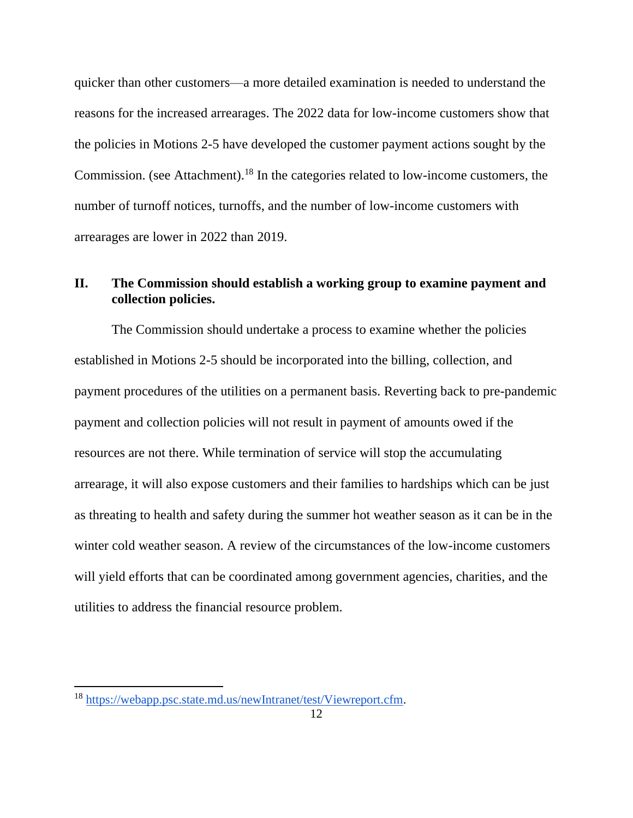quicker than other customers—a more detailed examination is needed to understand the reasons for the increased arrearages. The 2022 data for low-income customers show that the policies in Motions 2-5 have developed the customer payment actions sought by the Commission. (see Attachment). <sup>18</sup> In the categories related to low-income customers, the number of turnoff notices, turnoffs, and the number of low-income customers with arrearages are lower in 2022 than 2019.

# **II. The Commission should establish a working group to examine payment and collection policies.**

The Commission should undertake a process to examine whether the policies established in Motions 2-5 should be incorporated into the billing, collection, and payment procedures of the utilities on a permanent basis. Reverting back to pre-pandemic payment and collection policies will not result in payment of amounts owed if the resources are not there. While termination of service will stop the accumulating arrearage, it will also expose customers and their families to hardships which can be just as threating to health and safety during the summer hot weather season as it can be in the winter cold weather season. A review of the circumstances of the low-income customers will yield efforts that can be coordinated among government agencies, charities, and the utilities to address the financial resource problem.

<sup>18</sup> [https://webapp.psc.state.md.us/newIntranet/test/Viewreport.cfm.](https://webapp.psc.state.md.us/newIntranet/test/Viewreport.cfm)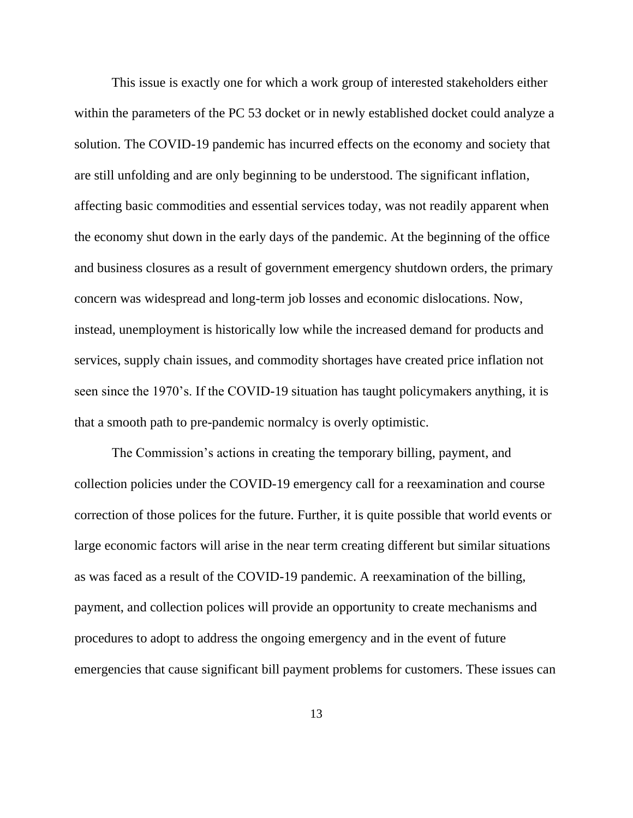This issue is exactly one for which a work group of interested stakeholders either within the parameters of the PC 53 docket or in newly established docket could analyze a solution. The COVID-19 pandemic has incurred effects on the economy and society that are still unfolding and are only beginning to be understood. The significant inflation, affecting basic commodities and essential services today, was not readily apparent when the economy shut down in the early days of the pandemic. At the beginning of the office and business closures as a result of government emergency shutdown orders, the primary concern was widespread and long-term job losses and economic dislocations. Now, instead, unemployment is historically low while the increased demand for products and services, supply chain issues, and commodity shortages have created price inflation not seen since the 1970's. If the COVID-19 situation has taught policymakers anything, it is that a smooth path to pre-pandemic normalcy is overly optimistic.

The Commission's actions in creating the temporary billing, payment, and collection policies under the COVID-19 emergency call for a reexamination and course correction of those polices for the future. Further, it is quite possible that world events or large economic factors will arise in the near term creating different but similar situations as was faced as a result of the COVID-19 pandemic. A reexamination of the billing, payment, and collection polices will provide an opportunity to create mechanisms and procedures to adopt to address the ongoing emergency and in the event of future emergencies that cause significant bill payment problems for customers. These issues can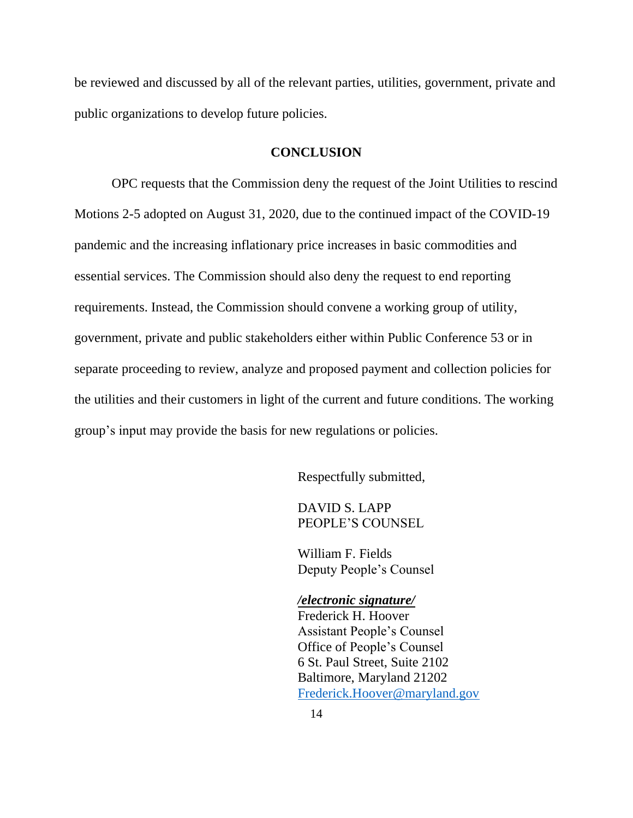be reviewed and discussed by all of the relevant parties, utilities, government, private and public organizations to develop future policies.

#### **CONCLUSION**

OPC requests that the Commission deny the request of the Joint Utilities to rescind Motions 2-5 adopted on August 31, 2020, due to the continued impact of the COVID-19 pandemic and the increasing inflationary price increases in basic commodities and essential services. The Commission should also deny the request to end reporting requirements. Instead, the Commission should convene a working group of utility, government, private and public stakeholders either within Public Conference 53 or in separate proceeding to review, analyze and proposed payment and collection policies for the utilities and their customers in light of the current and future conditions. The working group's input may provide the basis for new regulations or policies.

Respectfully submitted,

DAVID S. LAPP PEOPLE'S COUNSEL

William F. Fields Deputy People's Counsel

*/electronic signature/* Frederick H. Hoover Assistant People's Counsel Office of People's Counsel 6 St. Paul Street, Suite 2102 Baltimore, Maryland 21202 [Frederick.Hoover@maryland.gov](mailto:Frederick.Hoover@maryland.gov)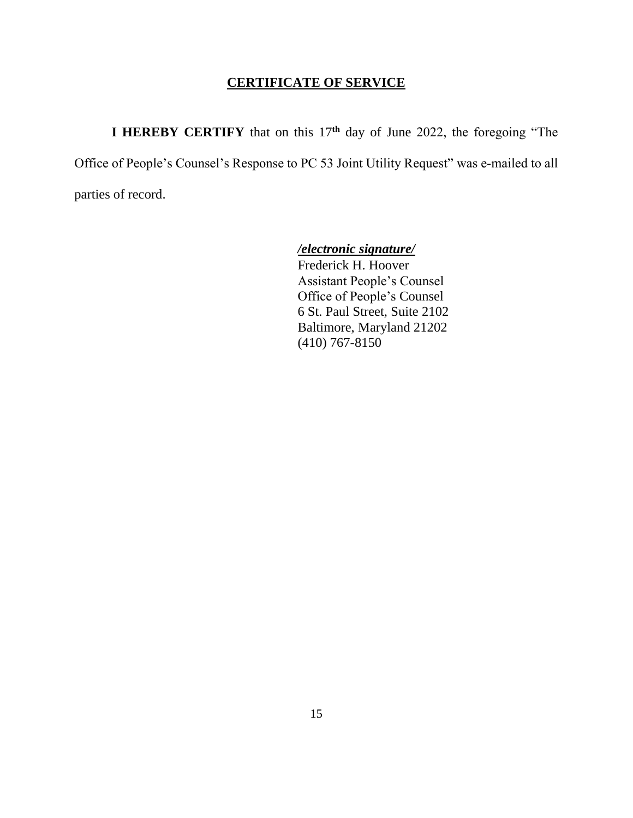# **CERTIFICATE OF SERVICE**

**I HEREBY CERTIFY** that on this 17**th** day of June 2022, the foregoing "The Office of People's Counsel's Response to PC 53 Joint Utility Request" was e‐mailed to all parties of record.

*/electronic signature/*

Frederick H. Hoover Assistant People's Counsel Office of People's Counsel 6 St. Paul Street, Suite 2102 Baltimore, Maryland 21202 (410) 767-8150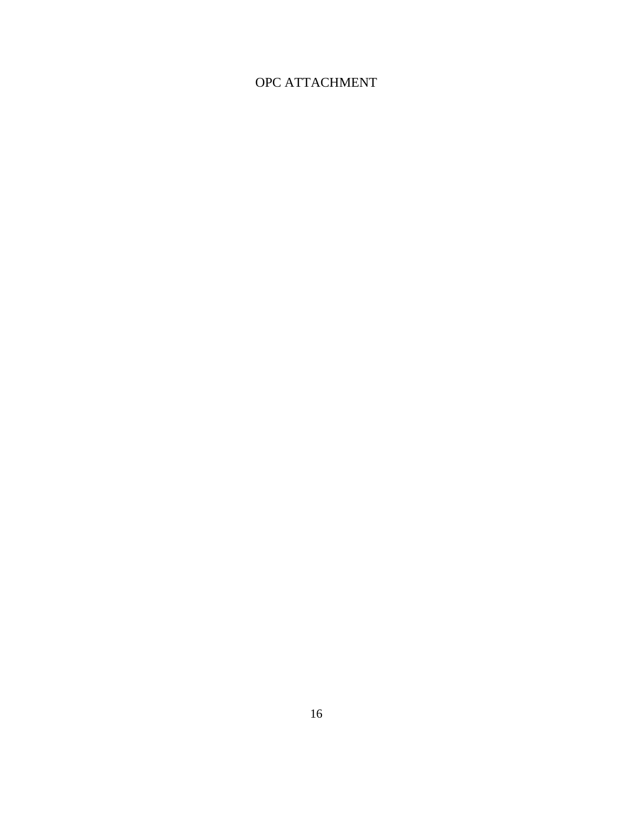# OPC ATTACHMENT